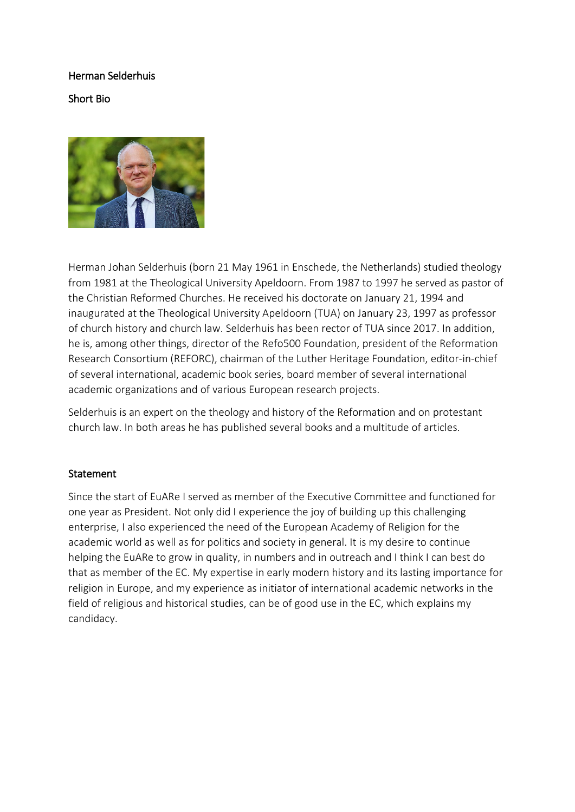# Herman Selderhuis

## Short Bio



Herman Johan Selderhuis (born 21 May 1961 in Enschede, the Netherlands) studied theology from 1981 at the Theological University Apeldoorn. From 1987 to 1997 he served as pastor of the Christian Reformed Churches. He received his doctorate on January 21, 1994 and inaugurated at the Theological University Apeldoorn (TUA) on January 23, 1997 as professor of church history and church law. Selderhuis has been rector of TUA since 2017. In addition, he is, among other things, director of the Refo500 Foundation, president of the Reformation Research Consortium (REFORC), chairman of the Luther Heritage Foundation, editor-in-chief of several international, academic book series, board member of several international academic organizations and of various European research projects.

Selderhuis is an expert on the theology and history of the Reformation and on protestant church law. In both areas he has published several books and a multitude of articles.

#### **Statement**

Since the start of EuARe I served as member of the Executive Committee and functioned for one year as President. Not only did I experience the joy of building up this challenging enterprise, I also experienced the need of the European Academy of Religion for the academic world as well as for politics and society in general. It is my desire to continue helping the EuARe to grow in quality, in numbers and in outreach and I think I can best do that as member of the EC. My expertise in early modern history and its lasting importance for religion in Europe, and my experience as initiator of international academic networks in the field of religious and historical studies, can be of good use in the EC, which explains my candidacy.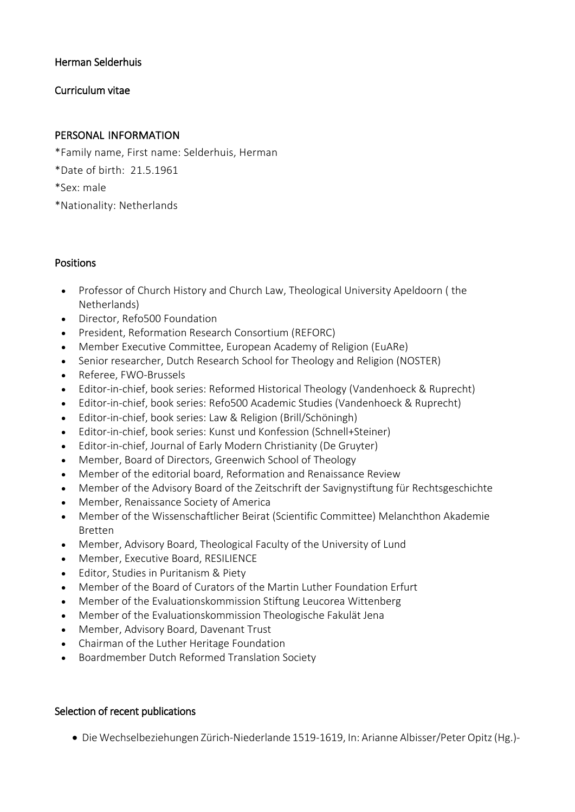### Herman Selderhuis

## Curriculum vitae

### PERSONAL INFORMATION

- \*Family name, First name: Selderhuis, Herman
- \*Date of birth: 21.5.1961
- \*Sex: male
- \*Nationality: Netherlands

#### Positions

- Professor of Church History and Church Law, Theological University Apeldoorn ( the Netherlands)
- Director, Refo500 Foundation
- President, Reformation Research Consortium (REFORC)
- Member Executive Committee, European Academy of Religion (EuARe)
- Senior researcher, Dutch Research School for Theology and Religion (NOSTER)
- Referee, FWO-Brussels
- Editor-in-chief, book series: Reformed Historical Theology (Vandenhoeck & Ruprecht)
- Editor-in-chief, book series: Refo500 Academic Studies (Vandenhoeck & Ruprecht)
- Editor-in-chief, book series: Law & Religion (Brill/Schöningh)
- Editor-in-chief, book series: Kunst und Konfession (Schnell+Steiner)
- Editor-in-chief, Journal of Early Modern Christianity (De Gruyter)
- Member, Board of Directors, Greenwich School of Theology
- Member of the editorial board, Reformation and Renaissance Review
- Member of the Advisory Board of the Zeitschrift der Savignystiftung für Rechtsgeschichte
- Member, Renaissance Society of America
- Member of the Wissenschaftlicher Beirat (Scientific Committee) Melanchthon Akademie Bretten
- Member, Advisory Board, Theological Faculty of the University of Lund
- Member, Executive Board, RESILIENCE
- Editor, Studies in Puritanism & Piety
- Member of the Board of Curators of the Martin Luther Foundation Erfurt
- Member of the Evaluationskommission Stiftung Leucorea Wittenberg
- Member of the Evaluationskommission Theologische Fakulät Jena
- Member, Advisory Board, Davenant Trust
- Chairman of the Luther Heritage Foundation
- Boardmember Dutch Reformed Translation Society

## Selection of recent publications

• Die Wechselbeziehungen Zürich-Niederlande 1519-1619, In: Arianne Albisser/Peter Opitz (Hg.)-